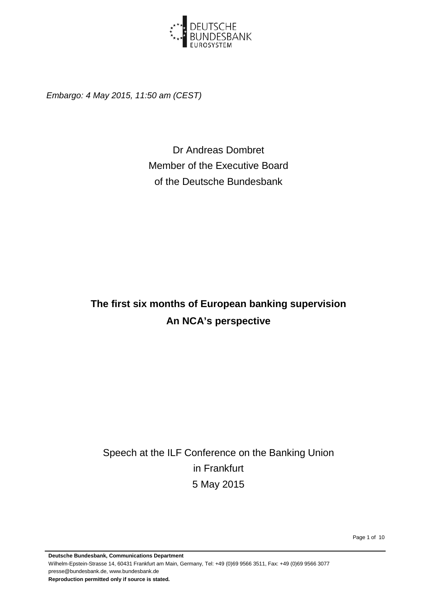

*Embargo: 4 May 2015, 11:50 am (CEST)*

Dr Andreas Dombret Member of the Executive Board of the Deutsche Bundesbank

# **The first six months of European banking supervision An NCA's perspective**

Speech at the ILF Conference on the Banking Union in Frankfurt 5 May 2015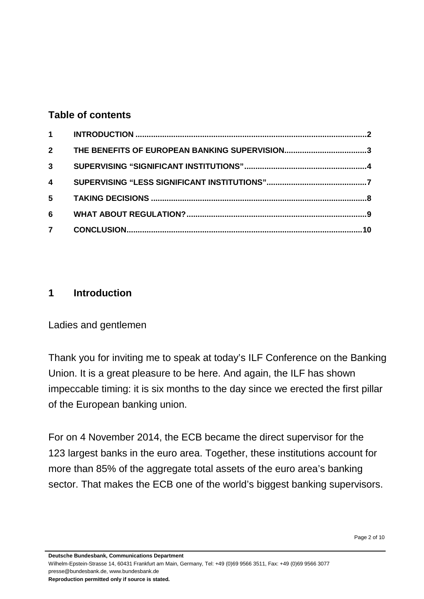#### **Table of contents**

| $2^{\circ}$             |  |
|-------------------------|--|
| 3 <sup>1</sup>          |  |
| $\overline{\mathbf{4}}$ |  |
| $5^{\circ}$             |  |
| 6                       |  |
| 7 <sup>7</sup>          |  |

## <span id="page-1-0"></span>**1 Introduction**

Ladies and gentlemen

Thank you for inviting me to speak at today's ILF Conference on the Banking Union. It is a great pleasure to be here. And again, the ILF has shown impeccable timing: it is six months to the day since we erected the first pillar of the European banking union.

For on 4 November 2014, the ECB became the direct supervisor for the 123 largest banks in the euro area. Together, these institutions account for more than 85% of the aggregate total assets of the euro area's banking sector. That makes the ECB one of the world's biggest banking supervisors.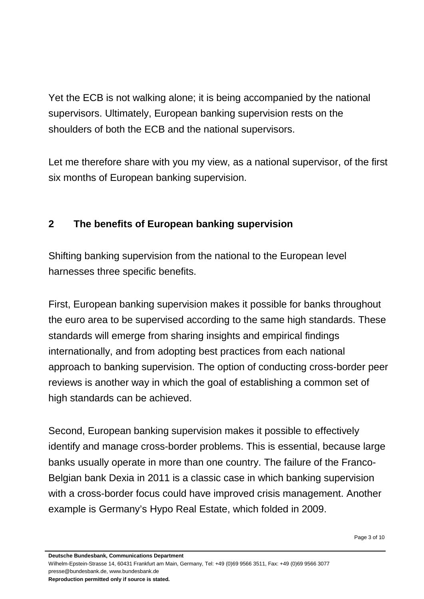Yet the ECB is not walking alone; it is being accompanied by the national supervisors. Ultimately, European banking supervision rests on the shoulders of both the ECB and the national supervisors.

<span id="page-2-0"></span>Let me therefore share with you my view, as a national supervisor, of the first six months of European banking supervision.

# **2 The benefits of European banking supervision**

Shifting banking supervision from the national to the European level harnesses three specific benefits.

First, European banking supervision makes it possible for banks throughout the euro area to be supervised according to the same high standards. These standards will emerge from sharing insights and empirical findings internationally, and from adopting best practices from each national approach to banking supervision. The option of conducting cross-border peer reviews is another way in which the goal of establishing a common set of high standards can be achieved.

Second, European banking supervision makes it possible to effectively identify and manage cross-border problems. This is essential, because large banks usually operate in more than one country. The failure of the Franco-Belgian bank Dexia in 2011 is a classic case in which banking supervision with a cross-border focus could have improved crisis management. Another example is Germany's Hypo Real Estate, which folded in 2009.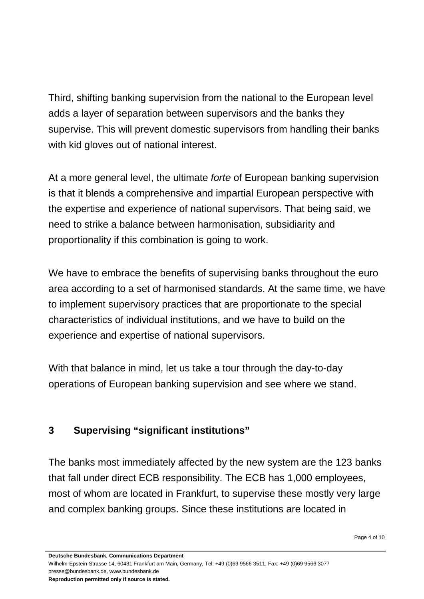Third, shifting banking supervision from the national to the European level adds a layer of separation between supervisors and the banks they supervise. This will prevent domestic supervisors from handling their banks with kid gloves out of national interest.

At a more general level, the ultimate *forte* of European banking supervision is that it blends a comprehensive and impartial European perspective with the expertise and experience of national supervisors. That being said, we need to strike a balance between harmonisation, subsidiarity and proportionality if this combination is going to work.

We have to embrace the benefits of supervising banks throughout the euro area according to a set of harmonised standards. At the same time, we have to implement supervisory practices that are proportionate to the special characteristics of individual institutions, and we have to build on the experience and expertise of national supervisors.

<span id="page-3-0"></span>With that balance in mind, let us take a tour through the day-to-day operations of European banking supervision and see where we stand.

## **3 Supervising "significant institutions"**

The banks most immediately affected by the new system are the 123 banks that fall under direct ECB responsibility. The ECB has 1,000 employees, most of whom are located in Frankfurt, to supervise these mostly very large and complex banking groups. Since these institutions are located in

**Deutsche Bundesbank, Communications Department**

Wilhelm-Epstein-Strasse 14, 60431 Frankfurt am Main, Germany, Tel: +49 (0)69 9566 3511, Fax: +49 (0)69 9566 3077 presse@bundesbank.de, www.bundesbank.de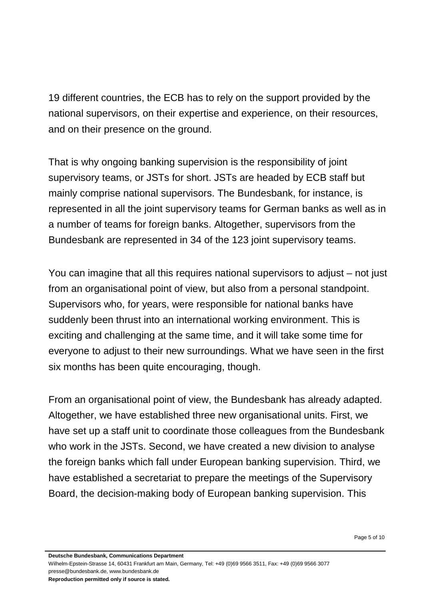19 different countries, the ECB has to rely on the support provided by the national supervisors, on their expertise and experience, on their resources, and on their presence on the ground.

That is why ongoing banking supervision is the responsibility of joint supervisory teams, or JSTs for short. JSTs are headed by ECB staff but mainly comprise national supervisors. The Bundesbank, for instance, is represented in all the joint supervisory teams for German banks as well as in a number of teams for foreign banks. Altogether, supervisors from the Bundesbank are represented in 34 of the 123 joint supervisory teams.

You can imagine that all this requires national supervisors to adjust – not just from an organisational point of view, but also from a personal standpoint. Supervisors who, for years, were responsible for national banks have suddenly been thrust into an international working environment. This is exciting and challenging at the same time, and it will take some time for everyone to adjust to their new surroundings. What we have seen in the first six months has been quite encouraging, though.

From an organisational point of view, the Bundesbank has already adapted. Altogether, we have established three new organisational units. First, we have set up a staff unit to coordinate those colleagues from the Bundesbank who work in the JSTs. Second, we have created a new division to analyse the foreign banks which fall under European banking supervision. Third, we have established a secretariat to prepare the meetings of the Supervisory Board, the decision-making body of European banking supervision. This

Page 5 of 10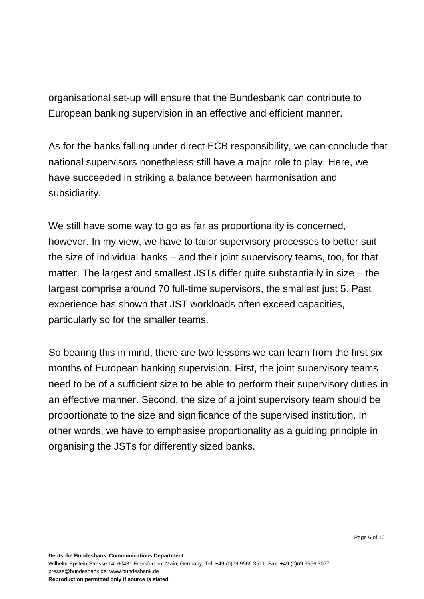organisational set-up will ensure that the Bundesbank can contribute to European banking supervision in an effective and efficient manner.

As for the banks falling under direct ECB responsibility, we can conclude that national supervisors nonetheless still have a major role to play. Here, we have succeeded in striking a balance between harmonisation and subsidiarity.

We still have some way to go as far as proportionality is concerned, however. In my view, we have to tailor supervisory processes to better suit the size of individual banks – and their joint supervisory teams, too, for that matter. The largest and smallest JSTs differ quite substantially in size – the largest comprise around 70 full-time supervisors, the smallest just 5. Past experience has shown that JST workloads often exceed capacities, particularly so for the smaller teams.

So bearing this in mind, there are two lessons we can learn from the first six months of European banking supervision. First, the joint supervisory teams need to be of a sufficient size to be able to perform their supervisory duties in an effective manner. Second, the size of a joint supervisory team should be proportionate to the size and significance of the supervised institution. In other words, we have to emphasise proportionality as a guiding principle in organising the JSTs for differently sized banks.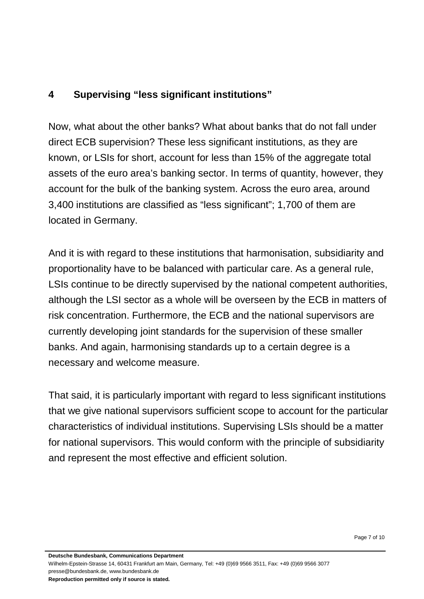## <span id="page-6-0"></span>**4 Supervising "less significant institutions"**

Now, what about the other banks? What about banks that do not fall under direct ECB supervision? These less significant institutions, as they are known, or LSIs for short, account for less than 15% of the aggregate total assets of the euro area's banking sector. In terms of quantity, however, they account for the bulk of the banking system. Across the euro area, around 3,400 institutions are classified as "less significant"; 1,700 of them are located in Germany.

And it is with regard to these institutions that harmonisation, subsidiarity and proportionality have to be balanced with particular care. As a general rule, LSIs continue to be directly supervised by the national competent authorities, although the LSI sector as a whole will be overseen by the ECB in matters of risk concentration. Furthermore, the ECB and the national supervisors are currently developing joint standards for the supervision of these smaller banks. And again, harmonising standards up to a certain degree is a necessary and welcome measure.

That said, it is particularly important with regard to less significant institutions that we give national supervisors sufficient scope to account for the particular characteristics of individual institutions. Supervising LSIs should be a matter for national supervisors. This would conform with the principle of subsidiarity and represent the most effective and efficient solution.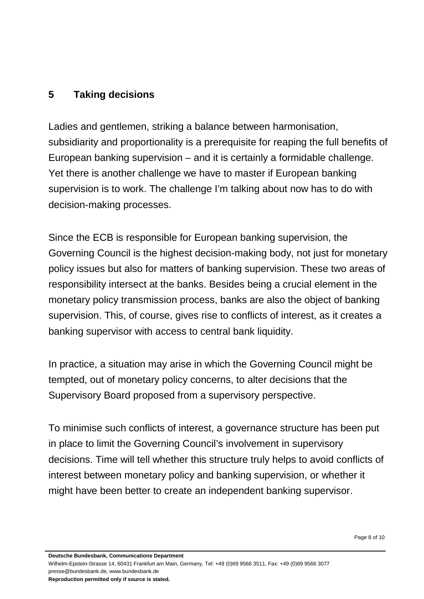## <span id="page-7-0"></span>**5 Taking decisions**

Ladies and gentlemen, striking a balance between harmonisation, subsidiarity and proportionality is a prerequisite for reaping the full benefits of European banking supervision – and it is certainly a formidable challenge. Yet there is another challenge we have to master if European banking supervision is to work. The challenge I'm talking about now has to do with decision-making processes.

Since the ECB is responsible for European banking supervision, the Governing Council is the highest decision-making body, not just for monetary policy issues but also for matters of banking supervision. These two areas of responsibility intersect at the banks. Besides being a crucial element in the monetary policy transmission process, banks are also the object of banking supervision. This, of course, gives rise to conflicts of interest, as it creates a banking supervisor with access to central bank liquidity.

In practice, a situation may arise in which the Governing Council might be tempted, out of monetary policy concerns, to alter decisions that the Supervisory Board proposed from a supervisory perspective.

To minimise such conflicts of interest, a governance structure has been put in place to limit the Governing Council's involvement in supervisory decisions. Time will tell whether this structure truly helps to avoid conflicts of interest between monetary policy and banking supervision, or whether it might have been better to create an independent banking supervisor.

**Deutsche Bundesbank, Communications Department**

Wilhelm-Epstein-Strasse 14, 60431 Frankfurt am Main, Germany, Tel: +49 (0)69 9566 3511, Fax: +49 (0)69 9566 3077 presse@bundesbank.de, www.bundesbank.de **Reproduction permitted only if source is stated.**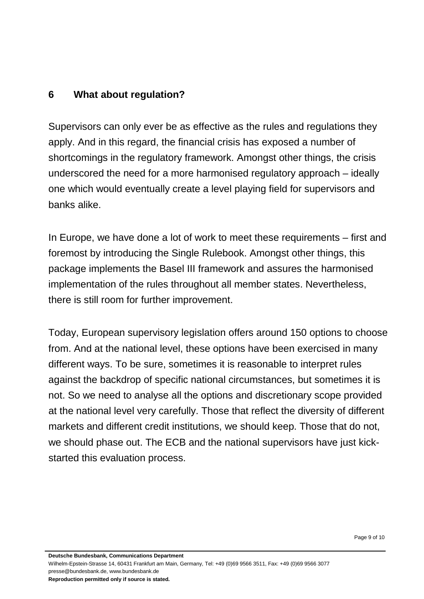## <span id="page-8-0"></span>**6 What about regulation?**

Supervisors can only ever be as effective as the rules and regulations they apply. And in this regard, the financial crisis has exposed a number of shortcomings in the regulatory framework. Amongst other things, the crisis underscored the need for a more harmonised regulatory approach – ideally one which would eventually create a level playing field for supervisors and banks alike.

In Europe, we have done a lot of work to meet these requirements – first and foremost by introducing the Single Rulebook. Amongst other things, this package implements the Basel III framework and assures the harmonised implementation of the rules throughout all member states. Nevertheless, there is still room for further improvement.

Today, European supervisory legislation offers around 150 options to choose from. And at the national level, these options have been exercised in many different ways. To be sure, sometimes it is reasonable to interpret rules against the backdrop of specific national circumstances, but sometimes it is not. So we need to analyse all the options and discretionary scope provided at the national level very carefully. Those that reflect the diversity of different markets and different credit institutions, we should keep. Those that do not, we should phase out. The ECB and the national supervisors have just kickstarted this evaluation process.